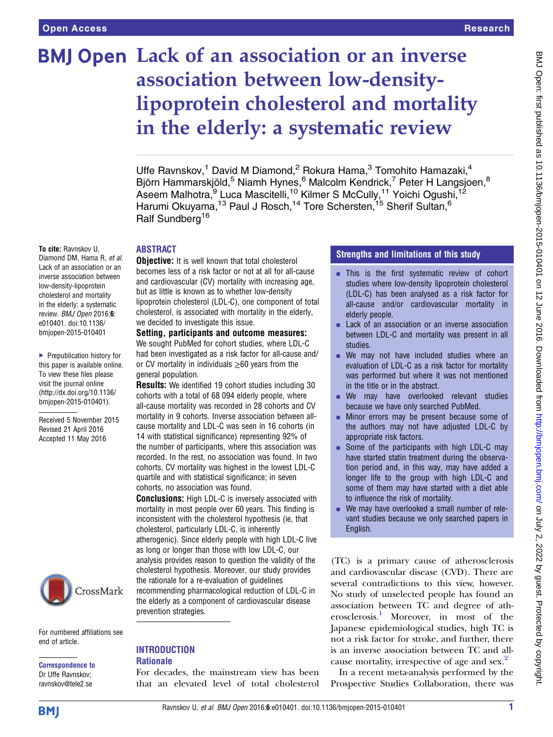To cite: Ravnskov U, Diamond DM, Hama R, et al. Lack of an association or an inverse association between low-density-lipoprotein cholesterol and mortality in the elderly: a systematic review. BMJ Open 2016;6: e010401. doi:10.1136/ bmjopen-2015-010401

▶ Prepublication history for this paper is available online. To view these files please visit the journal online [\(http://dx.doi.org/10.1136/](http://dx.doi.org/10.1136/bmjopen-2015-010401) [bmjopen-2015-010401](http://dx.doi.org/10.1136/bmjopen-2015-010401)). Received 5 November 2015 Revised 21 April 2016 Accepted 11 May 2016

# **BMJ Open Lack of an association or an inverse** association between low-densitylipoprotein cholesterol and mortality in the elderly: a systematic review

Uffe Ravnskov,<sup>1</sup> David M Diamond,<sup>2</sup> Rokura Hama,<sup>3</sup> Tomohito Hamazaki,<sup>4</sup> Björn Hammarskjöld,<sup>5</sup> Niamh Hynes,<sup>6</sup> Malcolm Kendrick,<sup>7</sup> Peter H Langsjoen,<sup>8</sup> Aseem Malhotra, <sup>9</sup> Luca Mascitelli, <sup>10</sup> Kilmer S McCully, <sup>11</sup> Yoichi Ogushi, <sup>12</sup> Harumi Okuyama,<sup>13</sup> Paul J Rosch,<sup>14</sup> Tore Schersten,<sup>15</sup> Sherif Sultan,<sup>6</sup> Ralf Sundberg<sup>16</sup>

#### ABSTRACT

**Objective:** It is well known that total cholesterol becomes less of a risk factor or not at all for all-cause and cardiovascular (CV) mortality with increasing age, but as little is known as to whether low-density lipoprotein cholesterol (LDL-C), one component of total cholesterol, is associated with mortality in the elderly, we decided to investigate this issue.

#### Setting, participants and outcome measures:

We sought PubMed for cohort studies, where LDL-C had been investigated as a risk factor for all-cause and/ or CV mortality in individuals  $\geq 60$  years from the general population.

Results: We identified 19 cohort studies including 30 cohorts with a total of 68 094 elderly people, where all-cause mortality was recorded in 28 cohorts and CV mortality in 9 cohorts. Inverse association between allcause mortality and LDL-C was seen in 16 cohorts (in 14 with statistical significance) representing 92% of the number of participants, where this association was recorded. In the rest, no association was found. In two cohorts, CV mortality was highest in the lowest LDL-C quartile and with statistical significance; in seven cohorts, no association was found.

**Conclusions:** High LDL-C is inversely associated with mortality in most people over 60 years. This finding is inconsistent with the cholesterol hypothesis (ie, that cholesterol, particularly LDL-C, is inherently atherogenic). Since elderly people with high LDL-C live as long or longer than those with low LDL-C, our analysis provides reason to question the validity of the cholesterol hypothesis. Moreover, our study provides the rationale for a re-evaluation of guidelines recommending pharmacological reduction of LDL-C in the elderly as a component of cardiovascular disease prevention strategies.

CrossMark

For numbered affiliations see end of article.

Correspondence to Dr Uffe Ravnskov; ravnskov@tele2.se

# **INTRODUCTION**

#### **Rationale**

For decades, the mainstream view has been that an elevated level of total cholesterol

#### Strengths and limitations of this study

- **EXTERCH This is the first systematic review of cohort** studies where low-density lipoprotein cholesterol (LDL-C) has been analysed as a risk factor for all-cause and/or cardiovascular mortality in elderly people.
- Lack of an association or an inverse association between LDL-C and mortality was present in all studies.
- $\blacksquare$  We may not have included studies where an evaluation of LDL-C as a risk factor for mortality was performed but where it was not mentioned in the title or in the abstract.
- **E** We may have overlooked relevant studies because we have only searched PubMed.
- **EXECUTE:** Minor errors may be present because some of the authors may not have adjusted LDL-C by appropriate risk factors.
- Some of the participants with high LDL-C may have started statin treatment during the observation period and, in this way, may have added a longer life to the group with high LDL-C and some of them may have started with a diet able to influence the risk of mortality.
- We may have overlooked a small number of relevant studies because we only searched papers in English.

(TC) is a primary cause of atherosclerosis and cardiovascular disease (CVD). There are several contradictions to this view, however. No study of unselected people has found an association between TC and degree of atherosclerosis[.1](#page-6-0) Moreover, in most of the Japanese epidemiological studies, high TC is not a risk factor for stroke, and further, there is an inverse association between TC and all-cause mortality, irrespective of age and sex.<sup>[2](#page-6-0)</sup>

In a recent meta-analysis performed by the Prospective Studies Collaboration, there was

**BMI**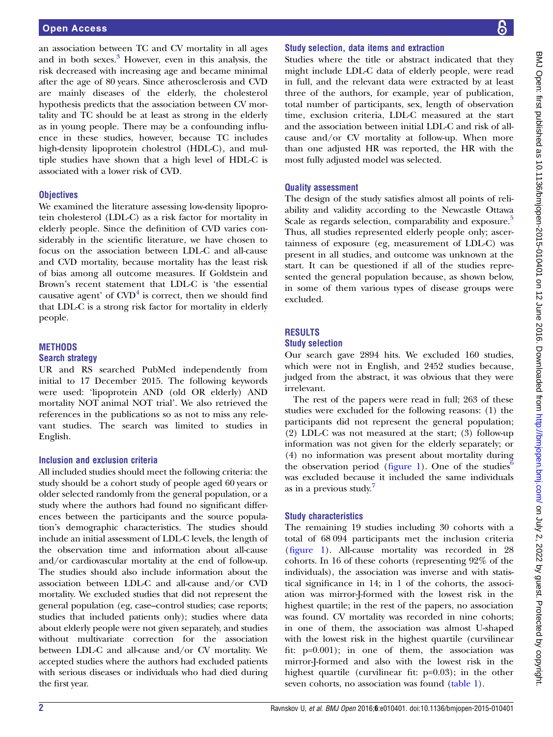an association between TC and CV mortality in all ages and in both sexes.<sup>[3](#page-6-0)</sup> However, even in this analysis, the risk decreased with increasing age and became minimal after the age of 80 years. Since atherosclerosis and CVD are mainly diseases of the elderly, the cholesterol hypothesis predicts that the association between CV mortality and TC should be at least as strong in the elderly as in young people. There may be a confounding influence in these studies, however, because TC includes high-density lipoprotein cholestrol (HDL-C), and multiple studies have shown that a high level of HDL-C is associated with a lower risk of CVD.

#### **Objectives**

We examined the literature assessing low-density lipoprotein cholesterol (LDL-C) as a risk factor for mortality in elderly people. Since the definition of CVD varies considerably in the scientific literature, we have chosen to focus on the association between LDL-C and all-cause and CVD mortality, because mortality has the least risk of bias among all outcome measures. If Goldstein and Brown's recent statement that LDL-C is 'the essential causative agent' of  $CVD<sup>4</sup>$  $CVD<sup>4</sup>$  $CVD<sup>4</sup>$  is correct, then we should find that LDL-C is a strong risk factor for mortality in elderly people.

#### **METHODS** Search strategy

UR and RS searched PubMed independently from initial to 17 December 2015. The following keywords were used: 'lipoprotein AND (old OR elderly) AND mortality NOT animal NOT trial'. We also retrieved the references in the publications so as not to miss any relevant studies. The search was limited to studies in English.

#### Inclusion and exclusion criteria

All included studies should meet the following criteria: the study should be a cohort study of people aged 60 years or older selected randomly from the general population, or a study where the authors had found no significant differences between the participants and the source population's demographic characteristics. The studies should include an initial assessment of LDL-C levels, the length of the observation time and information about all-cause and/or cardiovascular mortality at the end of follow-up. The studies should also include information about the association between LDL-C and all-cause and/or CVD mortality. We excluded studies that did not represent the general population (eg, case–control studies; case reports; studies that included patients only); studies where data about elderly people were not given separately, and studies without multivariate correction for the association between LDL-C and all-cause and/or CV mortality. We accepted studies where the authors had excluded patients with serious diseases or individuals who had died during the first year.

## Study selection, data items and extraction

Studies where the title or abstract indicated that they might include LDL-C data of elderly people, were read in full, and the relevant data were extracted by at least three of the authors, for example, year of publication, total number of participants, sex, length of observation time, exclusion criteria, LDL-C measured at the start and the association between initial LDL-C and risk of allcause and/or CV mortality at follow-up. When more than one adjusted HR was reported, the HR with the most fully adjusted model was selected.

#### Quality assessment

The design of the study satisfies almost all points of reliability and validity according to the Newcastle Ottawa Scale as regards selection, comparability and exposure.<sup>[5](#page-6-0)</sup> Thus, all studies represented elderly people only; ascertainness of exposure (eg, measurement of LDL-C) was present in all studies, and outcome was unknown at the start. It can be questioned if all of the studies represented the general population because, as shown below, in some of them various types of disease groups were excluded.

#### RESULTS

#### Study selection

Our search gave 2894 hits. We excluded 160 studies, which were not in English, and 2452 studies because, judged from the abstract, it was obvious that they were irrelevant.

The rest of the papers were read in full; 263 of these studies were excluded for the following reasons: (1) the participants did not represent the general population; (2) LDL-C was not measured at the start; (3) follow-up information was not given for the elderly separately; or (4) no information was present about mortality during the observation period (fi[gure 1](#page-2-0)). One of the studies<sup>[6](#page-6-0)</sup> was excluded because it included the same individuals as in a previous study.<sup>[7](#page-6-0)</sup>

#### Study characteristics

The remaining 19 studies including 30 cohorts with a total of 68 094 participants met the inclusion criteria (fi[gure 1](#page-2-0)). All-cause mortality was recorded in 28 cohorts. In 16 of these cohorts (representing 92% of the individuals), the association was inverse and with statistical significance in 14; in 1 of the cohorts, the association was mirror-J-formed with the lowest risk in the highest quartile; in the rest of the papers, no association was found. CV mortality was recorded in nine cohorts; in one of them, the association was almost U-shaped with the lowest risk in the highest quartile (curvilinear fit: p=0.001); in one of them, the association was mirror-J-formed and also with the lowest risk in the highest quartile (curvilinear fit: p=0.03); in the other seven cohorts, no association was found [\(table 1](#page-3-0)).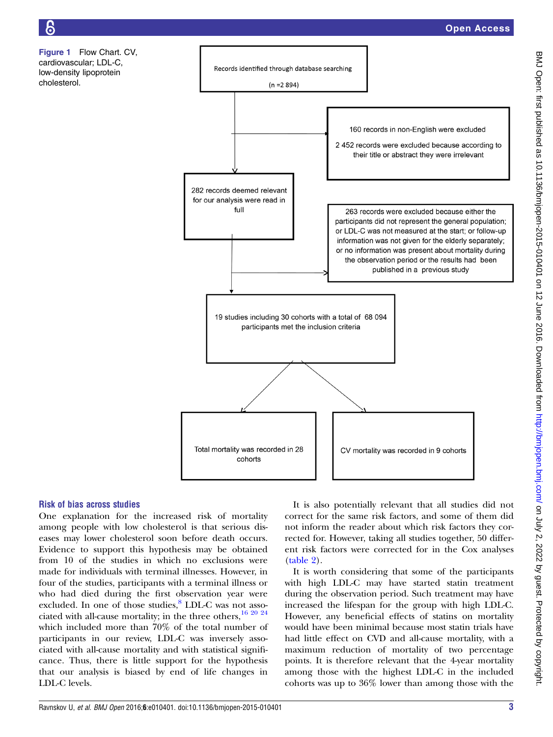<span id="page-2-0"></span>Figure 1 Flow Chart. CV, cardiovascular; LDL-C, low-density lipoprotein cholesterol.



#### Risk of bias across studies

One explanation for the increased risk of mortality among people with low cholesterol is that serious diseases may lower cholesterol soon before death occurs. Evidence to support this hypothesis may be obtained from 10 of the studies in which no exclusions were made for individuals with terminal illnesses. However, in four of the studies, participants with a terminal illness or who had died during the first observation year were excluded. In one of those studies,<sup>[8](#page-6-0)</sup> LDL-C was not associated with all-cause mortality; in the three others,  $16\frac{20\frac{24}{3}}{20\frac{24}{3}}$ which included more than 70% of the total number of participants in our review, LDL-C was inversely associated with all-cause mortality and with statistical significance. Thus, there is little support for the hypothesis that our analysis is biased by end of life changes in LDL-C levels.

It is also potentially relevant that all studies did not correct for the same risk factors, and some of them did not inform the reader about which risk factors they corrected for. However, taking all studies together, 50 different risk factors were corrected for in the Cox analyses [\(table 2](#page-4-0)).

It is worth considering that some of the participants with high LDL-C may have started statin treatment during the observation period. Such treatment may have increased the lifespan for the group with high LDL-C. However, any beneficial effects of statins on mortality would have been minimal because most statin trials have had little effect on CVD and all-cause mortality, with a maximum reduction of mortality of two percentage points. It is therefore relevant that the 4-year mortality among those with the highest LDL-C in the included cohorts was up to 36% lower than among those with the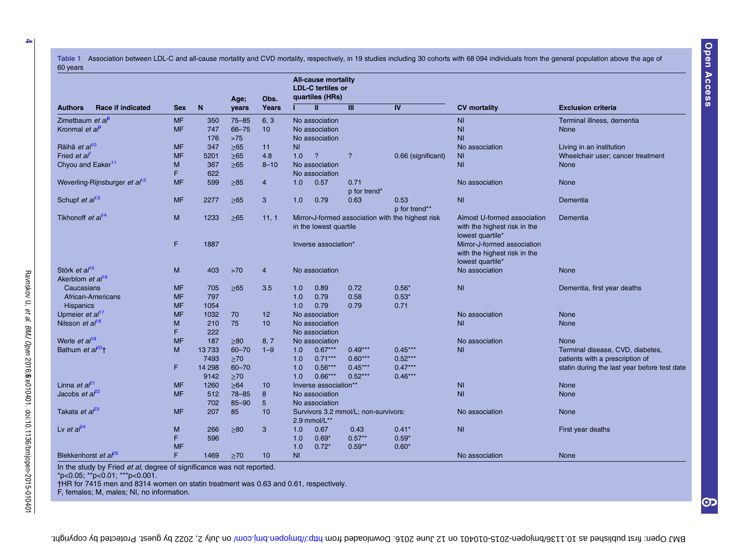<span id="page-3-0"></span>Table 1 Association between LDL-C and all-cause mortality and CVD mortality, respectively, in 19 studies including 30 cohorts with 68 094 individuals from the general population above the age of 60 years

|                                           | <b>Race if indicated</b> | <b>Sex</b> | N      | Age;<br>years | Obs.<br>Years   | <b>All-cause mortality</b><br><b>LDL-C tertiles or</b><br>quartiles (HRs)   |                       |                          |                    |                                                                                 |                                              |  |
|-------------------------------------------|--------------------------|------------|--------|---------------|-----------------|-----------------------------------------------------------------------------|-----------------------|--------------------------|--------------------|---------------------------------------------------------------------------------|----------------------------------------------|--|
| <b>Authors</b>                            |                          |            |        |               |                 |                                                                             | Ш                     | Ш                        | IV                 | <b>CV</b> mortality                                                             | <b>Exclusion criteria</b>                    |  |
| Zimetbaum et $a^{\beta}$                  |                          | <b>MF</b>  | 350    | $75 - 85$     | 6, 3            |                                                                             | No association        |                          |                    | <b>NI</b>                                                                       | Terminal illness, dementia                   |  |
| Kronmal <i>et a</i> $\theta$              |                          | <b>MF</b>  | 747    | 66-75         | 10 <sup>°</sup> |                                                                             | No association        |                          |                    | N <sub>1</sub>                                                                  | None                                         |  |
|                                           |                          |            | 176    | $>75$         |                 |                                                                             | No association        |                          |                    | N <sub>1</sub>                                                                  |                                              |  |
| Räihä et al <sup>10</sup>                 |                          | <b>MF</b>  | 347    | $\geq 65$     | 11              | N <sub>1</sub>                                                              |                       |                          |                    | No association                                                                  | Living in an institution                     |  |
| Fried <i>et al</i>                        |                          | <b>MF</b>  | 5201   | $\geq 65$     | 4.8             | 1.0                                                                         | $\overline{?}$        | $\overline{\phantom{a}}$ | 0.66 (significant) | N <sub>l</sub>                                                                  | Wheelchair user; cancer treatment            |  |
| Chyou and Eaker <sup>11</sup>             |                          | M          | 367    | $\geq 65$     | $8 - 10$        |                                                                             | No association        |                          |                    | N <sub>l</sub>                                                                  | <b>None</b>                                  |  |
|                                           |                          | F          | 622    |               |                 |                                                                             | No association        |                          |                    |                                                                                 |                                              |  |
| Weverling-Rijnsburger et al <sup>12</sup> |                          | <b>MF</b>  | 599    | $\geq 85$     | 4               | 1.0                                                                         | 0.57                  | 0.71                     |                    | No association                                                                  | <b>None</b>                                  |  |
|                                           |                          |            |        |               |                 |                                                                             |                       | p for trend*             |                    |                                                                                 |                                              |  |
| Schupf et al <sup>13</sup>                |                          | <b>MF</b>  | 2277   | $\geq 65$     | 3               | 1.0                                                                         | 0.79                  | 0.63                     | 0.53               | N <sub>l</sub>                                                                  | Dementia                                     |  |
|                                           |                          |            |        |               |                 |                                                                             |                       |                          | p for trend**      |                                                                                 |                                              |  |
| Tikhonoff et al <sup>14</sup>             |                          | M          | 1233   | $\geq 65$     | 11, 1           | Mirror-J-formed association with the highest risk<br>in the lowest quartile |                       |                          |                    | Almost U-formed association<br>with the highest risk in the<br>lowest quartile* | Dementia                                     |  |
|                                           |                          | F          | 1887   |               |                 | Inverse association*                                                        |                       |                          |                    | Mirror-J-formed association<br>with the highest risk in the<br>lowest quartile* |                                              |  |
| Störk et al <sup>15</sup>                 |                          | M          | 403    | $>70$         | $\overline{4}$  |                                                                             | No association        |                          |                    | No association                                                                  | None                                         |  |
| Akerblom et al <sup>16</sup>              |                          |            |        |               |                 |                                                                             |                       |                          |                    |                                                                                 |                                              |  |
| Caucasians                                |                          | <b>MF</b>  | 705    | $\geq 65$     | 3.5             | 1.0                                                                         | 0.89                  | 0.72                     | $0.56*$            | N <sub>l</sub>                                                                  | Dementia, first year deaths                  |  |
| African-Americans                         |                          | <b>MF</b>  | 797    |               |                 | 1.0                                                                         | 0.79                  | 0.58                     | $0.53*$            |                                                                                 |                                              |  |
| <b>Hispanics</b>                          |                          | <b>MF</b>  | 1054   |               |                 | 1.0                                                                         | 0.79                  | 0.79                     | 0.71               |                                                                                 |                                              |  |
| Upmeier et al <sup>17</sup>               |                          | <b>MF</b>  | 1032   | 70            | 12              |                                                                             | No association        |                          |                    | No association                                                                  | None                                         |  |
| Nilsson et $a/18$                         |                          | M          | 210    | 75            | 10              |                                                                             | No association        |                          |                    | N <sub>l</sub>                                                                  | <b>None</b>                                  |  |
|                                           |                          | F          | 222    |               |                 |                                                                             | No association        |                          |                    |                                                                                 |                                              |  |
| Werle et al <sup>19</sup>                 |                          | <b>MF</b>  | 187    | $\geq 80$     | 8, 7            |                                                                             | No association        |                          |                    | No association                                                                  | <b>None</b>                                  |  |
| Bathum et a <sup>po</sup> t               |                          | M          | 13733  | $60 - 70$     | $1 - 9$         | 1.0                                                                         | $0.67***$             | $0.49***$                | $0.45***$          | N <sub>1</sub>                                                                  | Terminal disease, CVD, diabetes,             |  |
|                                           |                          |            | 7493   | $\geq 70$     |                 | 1.0                                                                         | $0.71***$             | $0.60***$                | $0.52***$          |                                                                                 | patients with a prescription of              |  |
|                                           |                          | F          | 14 298 | $60 - 70$     |                 | 1.0                                                                         | $0.56***$             | $0.45***$                | $0.47***$          |                                                                                 | statin during the last year before test date |  |
|                                           |                          |            | 9142   | $\geq 70$     |                 | 1.0                                                                         | $0.66***$             | $0.52***$                | $0.46***$          |                                                                                 |                                              |  |
| Linna et $a^{p_1}$                        |                          | <b>MF</b>  | 1260   | $\geq 64$     | 10              |                                                                             | Inverse association** |                          |                    | <b>NI</b>                                                                       | <b>None</b>                                  |  |
| Jacobs et $a^{2}$                         |                          | <b>MF</b>  | 512    | $78 - 85$     | 8               |                                                                             | No association        |                          |                    | N <sub>l</sub>                                                                  | <b>None</b>                                  |  |
|                                           |                          |            | 702    | $85 - 90$     | 5               |                                                                             | No association        |                          |                    |                                                                                 |                                              |  |
| Takata et al <sup>23</sup>                |                          | <b>MF</b>  | 207    | 85            | 10              | Survivors 3.2 mmol/L; non-survivors:<br>2.9 mmol/L**                        |                       |                          |                    | No association                                                                  | <b>None</b>                                  |  |
| Lv et $a^{24}$                            |                          | M          | 266    | $\geq 80$     | 3               | 1.0                                                                         | 0.67                  | 0.43                     | $0.41*$            | N <sub>l</sub>                                                                  | First year deaths                            |  |
|                                           |                          | F          | 596    |               |                 | 1.0                                                                         | $0.69*$               | $0.57**$                 | $0.59*$            |                                                                                 |                                              |  |
|                                           |                          | <b>MF</b>  |        |               |                 | 1.0                                                                         | $0.72*$               | $0.59**$                 | $0.60*$            |                                                                                 |                                              |  |
| Blekkenhorst et $a^{25}$                  |                          | F          | 1469   | $\geq 70$     | 10              | <b>NI</b>                                                                   |                       |                          |                    | No association                                                                  | None                                         |  |

In the study by Fried et al, degree of significance was not reported.

\*p<0.05; \*\*p<0.01; \*\*\*p<0.001.

†HR for 7415 men and 8314 women on statin treatment was 0.63 and 0.61, respectively.

F, females; M, males; NI, no information.

Ravnskov U,

et al.

BMJ Open

2016;6:e010401. doi:10.1136/bmjopen-2015-010401

တ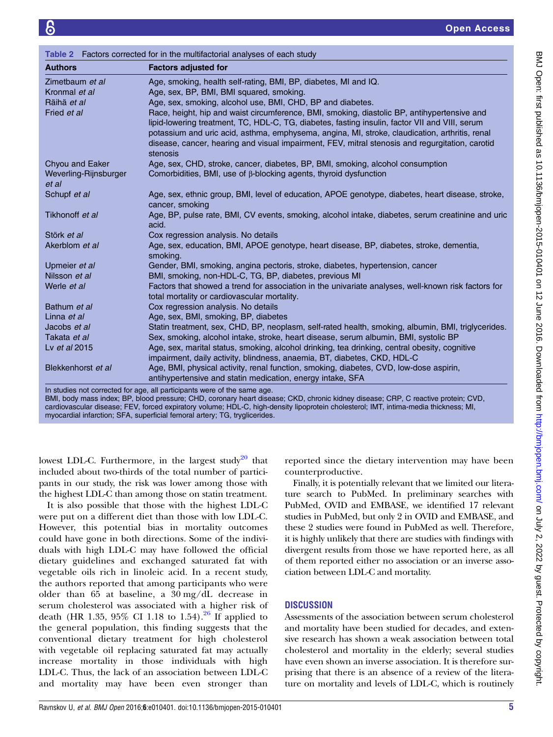<span id="page-4-0"></span>

| Table 2 Factors corrected for in the multifactorial analyses of each study |                                                                                                                                                                                                                                                                                                                                                                                                                |  |  |  |  |  |
|----------------------------------------------------------------------------|----------------------------------------------------------------------------------------------------------------------------------------------------------------------------------------------------------------------------------------------------------------------------------------------------------------------------------------------------------------------------------------------------------------|--|--|--|--|--|
| <b>Authors</b>                                                             | <b>Factors adjusted for</b>                                                                                                                                                                                                                                                                                                                                                                                    |  |  |  |  |  |
| Zimetbaum et al                                                            | Age, smoking, health self-rating, BMI, BP, diabetes, MI and IQ.                                                                                                                                                                                                                                                                                                                                                |  |  |  |  |  |
| Kronmal et al                                                              | Age, sex, BP, BMI, BMI squared, smoking.                                                                                                                                                                                                                                                                                                                                                                       |  |  |  |  |  |
| Räihä et al                                                                | Age, sex, smoking, alcohol use, BMI, CHD, BP and diabetes.                                                                                                                                                                                                                                                                                                                                                     |  |  |  |  |  |
| Fried et al                                                                | Race, height, hip and waist circumference, BMI, smoking, diastolic BP, antihypertensive and<br>lipid-lowering treatment, TC, HDL-C, TG, diabetes, fasting insulin, factor VII and VIII, serum<br>potassium and uric acid, asthma, emphysema, angina, MI, stroke, claudication, arthritis, renal<br>disease, cancer, hearing and visual impairment, FEV, mitral stenosis and regurgitation, carotid<br>stenosis |  |  |  |  |  |
| Chyou and Eaker<br>Weverling-Rijnsburger<br>et al                          | Age, sex, CHD, stroke, cancer, diabetes, BP, BMI, smoking, alcohol consumption<br>Comorbidities, BMI, use of β-blocking agents, thyroid dysfunction                                                                                                                                                                                                                                                            |  |  |  |  |  |
| Schupf et al                                                               | Age, sex, ethnic group, BMI, level of education, APOE genotype, diabetes, heart disease, stroke,<br>cancer, smoking                                                                                                                                                                                                                                                                                            |  |  |  |  |  |
| Tikhonoff et al                                                            | Age, BP, pulse rate, BMI, CV events, smoking, alcohol intake, diabetes, serum creatinine and uric<br>acid.                                                                                                                                                                                                                                                                                                     |  |  |  |  |  |
| Störk et al                                                                | Cox regression analysis. No details                                                                                                                                                                                                                                                                                                                                                                            |  |  |  |  |  |
| Akerblom et al                                                             | Age, sex, education, BMI, APOE genotype, heart disease, BP, diabetes, stroke, dementia,<br>smoking.                                                                                                                                                                                                                                                                                                            |  |  |  |  |  |
| Upmeier et al                                                              | Gender, BMI, smoking, angina pectoris, stroke, diabetes, hypertension, cancer                                                                                                                                                                                                                                                                                                                                  |  |  |  |  |  |
| Nilsson et al                                                              | BMI, smoking, non-HDL-C, TG, BP, diabetes, previous MI                                                                                                                                                                                                                                                                                                                                                         |  |  |  |  |  |
| Werle et al                                                                | Factors that showed a trend for association in the univariate analyses, well-known risk factors for<br>total mortality or cardiovascular mortality.                                                                                                                                                                                                                                                            |  |  |  |  |  |
| Bathum et al                                                               | Cox regression analysis. No details                                                                                                                                                                                                                                                                                                                                                                            |  |  |  |  |  |
| Linna et al                                                                | Age, sex, BMI, smoking, BP, diabetes                                                                                                                                                                                                                                                                                                                                                                           |  |  |  |  |  |
| Jacobs et al                                                               | Statin treatment, sex, CHD, BP, neoplasm, self-rated health, smoking, albumin, BMI, triglycerides.                                                                                                                                                                                                                                                                                                             |  |  |  |  |  |
| Takata et al                                                               | Sex, smoking, alcohol intake, stroke, heart disease, serum albumin, BMI, systolic BP                                                                                                                                                                                                                                                                                                                           |  |  |  |  |  |
| Ly et al 2015                                                              | Age, sex, marital status, smoking, alcohol drinking, tea drinking, central obesity, cognitive<br>impairment, daily activity, blindness, anaemia, BT, diabetes, CKD, HDL-C                                                                                                                                                                                                                                      |  |  |  |  |  |
| Blekkenhorst et al                                                         | Age, BMI, physical activity, renal function, smoking, diabetes, CVD, low-dose aspirin,<br>antihypertensive and statin medication, energy intake, SFA                                                                                                                                                                                                                                                           |  |  |  |  |  |
|                                                                            | In studies not corrected for age, all participants were of the same age.<br>BMI, body mass index; BP, blood pressure; CHD, coronary heart disease; CKD, chronic kidney disease; CRP, C reactive protein; CVD,                                                                                                                                                                                                  |  |  |  |  |  |

BMI, body mass index; BP, blood pressure; CHD, coronary heart disease; CKD, chronic kidney disease; CRP, C reactive protein; CVD, cardiovascular disease; FEV, forced expiratory volume; HDL-C, high-density lipoprotein cholesterol; IMT, intima-media thickness; MI, myocardial infarction; SFA, superficial femoral artery; TG, tryglicerides.

lowest LDL-C. Furthermore, in the largest study<sup>[20](#page-6-0)</sup> that included about two-thirds of the total number of participants in our study, the risk was lower among those with the highest LDL-C than among those on statin treatment.

It is also possible that those with the highest LDL-C were put on a different diet than those with low LDL-C. However, this potential bias in mortality outcomes could have gone in both directions. Some of the individuals with high LDL-C may have followed the official dietary guidelines and exchanged saturated fat with vegetable oils rich in linoleic acid. In a recent study, the authors reported that among participants who were older than 65 at baseline, a 30 mg/dL decrease in serum cholesterol was associated with a higher risk of death (HR 1.35, 95% CI 1.18 to 1.54).<sup>[26](#page-6-0)</sup> If applied to the general population, this finding suggests that the conventional dietary treatment for high cholesterol with vegetable oil replacing saturated fat may actually increase mortality in those individuals with high LDL-C. Thus, the lack of an association between LDL-C and mortality may have been even stronger than

reported since the dietary intervention may have been counterproductive.

Finally, it is potentially relevant that we limited our literature search to PubMed. In preliminary searches with PubMed, OVID and EMBASE, we identified 17 relevant studies in PubMed, but only 2 in OVID and EMBASE, and these 2 studies were found in PubMed as well. Therefore, it is highly unlikely that there are studies with findings with divergent results from those we have reported here, as all of them reported either no association or an inverse association between LDL-C and mortality.

### **DISCUSSION**

Assessments of the association between serum cholesterol and mortality have been studied for decades, and extensive research has shown a weak association between total cholesterol and mortality in the elderly; several studies have even shown an inverse association. It is therefore surprising that there is an absence of a review of the literature on mortality and levels of LDL-C, which is routinely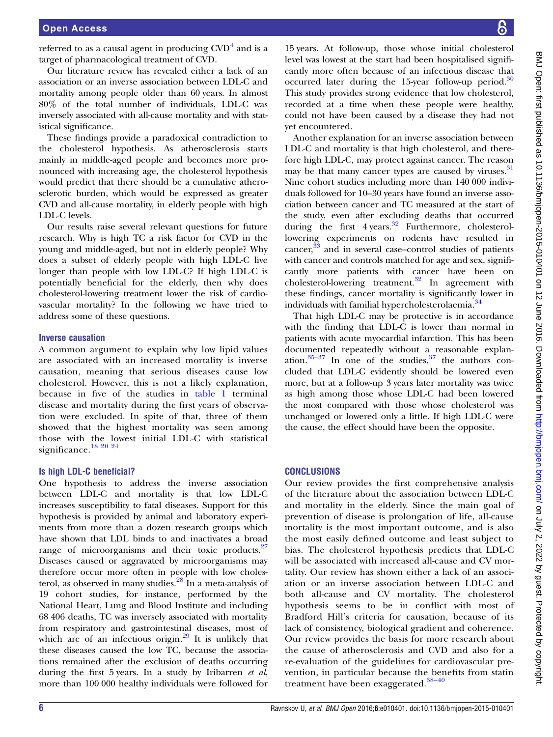referred to as a causal agent in producing  $CVD<sup>4</sup>$  $CVD<sup>4</sup>$  $CVD<sup>4</sup>$  and is a target of pharmacological treatment of CVD.

Our literature review has revealed either a lack of an association or an inverse association between LDL-C and mortality among people older than 60 years. In almost 80% of the total number of individuals, LDL-C was inversely associated with all-cause mortality and with statistical significance.

These findings provide a paradoxical contradiction to the cholesterol hypothesis. As atherosclerosis starts mainly in middle-aged people and becomes more pronounced with increasing age, the cholesterol hypothesis would predict that there should be a cumulative atherosclerotic burden, which would be expressed as greater CVD and all-cause mortality, in elderly people with high LDL-C levels.

Our results raise several relevant questions for future research. Why is high TC a risk factor for CVD in the young and middle-aged, but not in elderly people? Why does a subset of elderly people with high LDL-C live longer than people with low LDL-C? If high LDL-C is potentially beneficial for the elderly, then why does cholesterol-lowering treatment lower the risk of cardiovascular mortality? In the following we have tried to address some of these questions.

#### Inverse causation

A common argument to explain why low lipid values are associated with an increased mortality is inverse causation, meaning that serious diseases cause low cholesterol. However, this is not a likely explanation, because in five of the studies in [table 1](#page-3-0) terminal disease and mortality during the first years of observation were excluded. In spite of that, three of them showed that the highest mortality was seen among those with the lowest initial LDL-C with statistical significance.<sup>18 20</sup> <sup>24</sup>

#### Is high LDL-C beneficial?

One hypothesis to address the inverse association between LDL-C and mortality is that low LDL-C increases susceptibility to fatal diseases. Support for this hypothesis is provided by animal and laboratory experiments from more than a dozen research groups which have shown that LDL binds to and inactivates a broad range of microorganisms and their toxic products. $27$ Diseases caused or aggravated by microorganisms may therefore occur more often in people with low cholesterol, as observed in many studies.[28](#page-6-0) In a meta-analysis of 19 cohort studies, for instance, performed by the National Heart, Lung and Blood Institute and including 68 406 deaths, TC was inversely associated with mortality from respiratory and gastrointestinal diseases, most of which are of an infectious origin. $29$  It is unlikely that these diseases caused the low TC, because the associations remained after the exclusion of deaths occurring during the first 5 years. In a study by Iribarren et al, more than 100 000 healthy individuals were followed for

15 years. At follow-up, those whose initial cholesterol level was lowest at the start had been hospitalised significantly more often because of an infectious disease that occurred later during the 15-year follow-up period.<sup>[30](#page-6-0)</sup> This study provides strong evidence that low cholesterol, recorded at a time when these people were healthy, could not have been caused by a disease they had not yet encountered.

Another explanation for an inverse association between LDL-C and mortality is that high cholesterol, and therefore high LDL-C, may protect against cancer. The reason may be that many cancer types are caused by viruses.<sup>[31](#page-6-0)</sup> Nine cohort studies including more than 140 000 individuals followed for 10–30 years have found an inverse association between cancer and TC measured at the start of the study, even after excluding deaths that occurred during the first  $4 \text{ years.}^{32}$  $4 \text{ years.}^{32}$  $4 \text{ years.}^{32}$  Furthermore, cholesterollowering experiments on rodents have resulted in cancer,<sup>[33](#page-7-0)</sup> and in several case–control studies of patients with cancer and controls matched for age and sex, significantly more patients with cancer have been on cholesterol-lowering treatment.[32](#page-7-0) In agreement with these findings, cancer mortality is significantly lower in individuals with familial hypercholesterolaemia.<sup>34</sup>

That high LDL-C may be protective is in accordance with the finding that LDL-C is lower than normal in patients with acute myocardial infarction. This has been documented repeatedly without a reasonable explanation. $35-37$  $35-37$  $35-37$  In one of the studies,  $37$  the authors concluded that LDL-C evidently should be lowered even more, but at a follow-up 3 years later mortality was twice as high among those whose LDL-C had been lowered the most compared with those whose cholesterol was unchanged or lowered only a little. If high LDL-C were the cause, the effect should have been the opposite.

#### **CONCLUSIONS**

Our review provides the first comprehensive analysis of the literature about the association between LDL-C and mortality in the elderly. Since the main goal of prevention of disease is prolongation of life, all-cause mortality is the most important outcome, and is also the most easily defined outcome and least subject to bias. The cholesterol hypothesis predicts that LDL-C will be associated with increased all-cause and CV mortality. Our review has shown either a lack of an association or an inverse association between LDL-C and both all-cause and CV mortality. The cholesterol hypothesis seems to be in conflict with most of Bradford Hill's criteria for causation, because of its lack of consistency, biological gradient and coherence. Our review provides the basis for more research about the cause of atherosclerosis and CVD and also for a re-evaluation of the guidelines for cardiovascular prevention, in particular because the benefits from statin treatment have been exaggerated.<sup>[38](#page-7-0)-40</sup>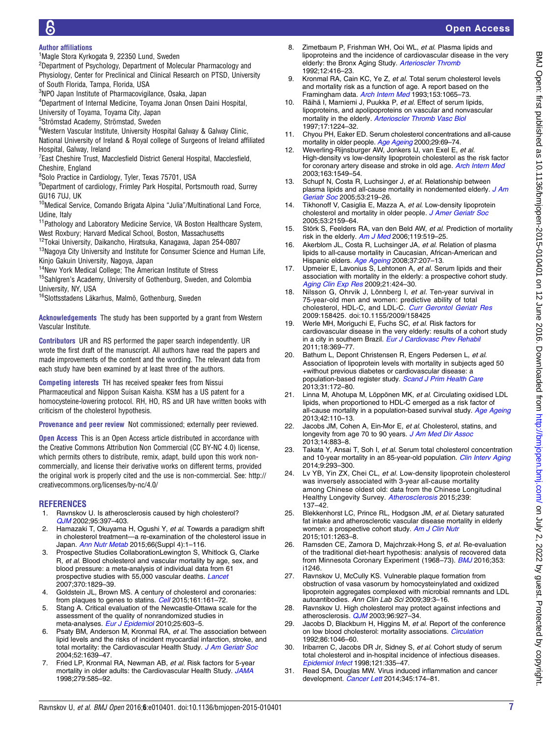# Open Access

#### <span id="page-6-0"></span>Author affiliations

- <sup>1</sup>Magle Stora Kyrkogata 9, 22350 Lund, Sweden
- $^{2}$ Department of Psychology, Department of Molecular Pharmacology and Physiology, Center for Preclinical and Clinical Research on PTSD, University of South Florida, Tampa, Florida, USA
- 3 NPO Japan Institute of Pharmacovigilance, Osaka, Japan
- 4 Department of Internal Medicine, Toyama Jonan Onsen Daini Hospital, University of Toyama, Toyama City, Japan
- 5 Strömstad Academy, Strömstad, Sweden

<sup>6</sup>Western Vascular Institute, University Hospital Galway & Galway Clinic, National University of Ireland & Royal college of Surgeons of Ireland affiliated Hospital, Galway, Ireland

<sup>7</sup> East Cheshire Trust, Macclesfield District General Hospital, Macclesfield, Cheshire, England

8 Solo Practice in Cardiology, Tyler, Texas 75701, USA

<sup>9</sup>Department of cardiology, Frimley Park Hospital, Portsmouth road, Surrey GU16 7UJ, UK

<sup>10</sup>Medical Service, Comando Brigata Alpina "Julia"/Multinational Land Force, Udine, Italy

<sup>11</sup> Pathology and Laboratory Medicine Service, VA Boston Healthcare System, West Roxbury; Harvard Medical School, Boston, Massachusetts

12Tokai University, Daikancho, Hiratsuka, Kanagawa, Japan 254-0807

<sup>13</sup>Nagoya City University and Institute for Consumer Science and Human Life, Kinjo Gakuin University, Nagoya, Japan

- 14New York Medical College; The American Institute of Stress
- <sup>15</sup>Sahlgren's Academy, University of Gothenburg, Sweden, and Colombia University, NY, USA

16Slottsstadens Läkarhus, Malmö, Gothenburg, Sweden

Acknowledgements The study has been supported by a grant from Western Vascular Institute.

Contributors UR and RS performed the paper search independently. UR wrote the first draft of the manuscript. All authors have read the papers and made improvements of the content and the wording. The relevant data from each study have been examined by at least three of the authors.

Competing interests TH has received speaker fees from Nissui Pharmaceutical and Nippon Suisan Kaisha. KSM has a US patent for a homocysteine-lowering protocol. RH, HO, RS and UR have written books with criticism of the cholesterol hypothesis.

Provenance and peer review Not commissioned; externally peer reviewed.

Open Access This is an Open Access article distributed in accordance with the Creative Commons Attribution Non Commercial (CC BY-NC 4.0) license, which permits others to distribute, remix, adapt, build upon this work noncommercially, and license their derivative works on different terms, provided the original work is properly cited and the use is non-commercial. See: [http://](http://creativecommons.org/licenses/by-nc/4.0/) [creativecommons.org/licenses/by-nc/4.0/](http://creativecommons.org/licenses/by-nc/4.0/)

#### REFERENCES

- 1. Ravnskov U. Is atherosclerosis caused by high cholesterol? [QJM](http://dx.doi.org/10.1093/qjmed/95.6.397) 2002;95:397–403.
- 2. Hamazaki T, Okuyama H, Ogushi Y, et al. Towards a paradigm shift in cholesterol treatment—a re-examination of the cholesterol issue in Japan. [Ann Nutr Metab](http://dx.doi.org/10.1159/000381654) 2015;66(Suppl 4):1-116.
- 3. Prospective Studies CollaborationLewington S, Whitlock G, Clarke R, et al. Blood cholesterol and vascular mortality by age, sex, and blood pressure: a meta-analysis of individual data from 61 prospective studies with 55,000 vascular deaths. [Lancet](http://dx.doi.org/10.1016/S0140-6736(07)61778-4) 2007;370:1829–39.
- 4. Goldstein JL, Brown MS. A century of cholesterol and coronaries: from plaques to genes to statins. [Cell](http://dx.doi.org/10.1016/j.cell.2015.01.036) 2015;161:161-72.
- 5. Stang A. Critical evaluation of the Newcastle-Ottawa scale for the assessment of the quality of nonrandomized studies in meta-analyses. [Eur J Epidemiol](http://dx.doi.org/10.1007/s10654-010-9491-z) 2010;25:603-5.
- 6. Psaty BM, Anderson M, Kronmal RA, et al. The association between lipid levels and the risks of incident myocardial infarction, stroke, and total mortality: the Cardiovascular Health Study. [J Am Geriatr Soc](http://dx.doi.org/10.1111/j.1532-5415.2004.52455.x) 2004;52:1639–47.
- 7. Fried LP, Kronmal RA, Newman AB, et al. Risk factors for 5-year mortality in older adults: the Cardiovascular Health Study. [JAMA](http://dx.doi.org/10.1001/jama.279.8.585) 1998;279:585–92.
- 8. Zimetbaum P, Frishman WH, Ooi WL, et al. Plasma lipids and lipoproteins and the incidence of cardiovascular disease in the very elderly: the Bronx Aging Study. [Arterioscler Thromb](http://dx.doi.org/10.1161/01.ATV.12.4.416) 1992;12:416–23.
- 9. Kronmal RA, Cain KC, Ye Z, et al. Total serum cholesterol levels and mortality risk as a function of age. A report based on the Framingham data. [Arch Intern Med](http://dx.doi.org/10.1001/archinte.1993.00410090025004) 1993;153:1065–73.
- 10. Räihä I, Marniemi J, Puukka P, et al. Effect of serum lipids, lipoproteins, and apolipoproteins on vascular and nonvascular mortality in the elderly. [Arterioscler Thromb Vasc Biol](http://dx.doi.org/10.1161/01.ATV.17.7.1224) 1997;17:1224–32.
- 11. Chyou PH, Eaker ED. Serum cholesterol concentrations and all-cause mortality in older people. [Age Ageing](http://dx.doi.org/10.1093/ageing/29.1.69) 2000;29:69-74.
- 12. Weverling-Rijnsburger AW, Jonkers IJ, van Exel E, et al. High-density vs low-density lipoprotein cholesterol as the risk factor for coronary artery disease and stroke in old age. [Arch Intern Med](http://dx.doi.org/10.1001/archinte.163.13.1549) 2003;163:1549–54.
- 13. Schupf N, Costa R, Luchsinger J, et al. Relationship between plasma lipids and all-cause mortality in nondemented elderly. [J Am](http://dx.doi.org/10.1111/j.1532-5415.2005.53106.x) [Geriatr Soc](http://dx.doi.org/10.1111/j.1532-5415.2005.53106.x) 2005;53:219–26.
- 14. Tikhonoff V, Casiglia E, Mazza A, et al. Low-density lipoprotein cholesterol and mortality in older people. [J Amer Geriatr Soc](http://dx.doi.org/10.1111/j.1532-5415.2005.00492.x) 2005;53:2159–64.
- 15. Störk S, Feelders RA, van den Beld AW, et al. Prediction of mortality risk in the elderly. [Am J Med](http://dx.doi.org/10.1016/j.amjmed.2005.10.062) 2006;119:519-25.
- 16. Akerblom JL, Costa R, Luchsinger JA, et al. Relation of plasma lipids to all-cause mortality in Caucasian, African-American and Hispanic elders. [Age Ageing](http://dx.doi.org/10.1093/ageing/afn017) 2008;37:207–13.
- 17. Upmeier E, Lavonius S, Lehtonen A, et al. Serum lipids and their association with mortality in the elderly: a prospective cohort study. [Aging Clin Exp Res](http://dx.doi.org/10.1007/BF03327441) 2009;21:424-30.
- 18. Nilsson G, Ohrvik J, Lönnberg I, et al. Ten-year survival in 75-year-old men and women: predictive ability of total cholesterol, HDL-C, and LDL-C. *[Curr Gerontol Geriatr Res](http://dx.doi.org/10.1155/2009/158425)* 2009:158425. doi:10.1155/2009/158425
- 19. Werle MH, Moriguchi E, Fuchs SC, et al. Risk factors for cardiovascular disease in the very elderly: results of a cohort study in a city in southern Brazil. [Eur J Cardiovasc Prev Rehabil](http://dx.doi.org/10.1177/1741826710389405) 2011;18:369–77.
- 20. Bathum L, Depont Christensen R, Engers Pedersen L, et al. Association of lipoprotein levels with mortality in subjects aged 50 +without previous diabetes or cardiovascular disease: a population-based register study. [Scand J Prim Health Care](http://dx.doi.org/10.3109/02813432.2013.824157) 2013;31:172–80.
- 21. Linna M, Ahotupa M, Löppönen MK, et al. Circulating oxidised LDL lipids, when proportioned to HDL-C emerged as a risk factor of all-cause mortality in a population-based survival study. [Age Ageing](http://dx.doi.org/10.1093/ageing/afs074) 2013;42:110–13.
- 22. Jacobs JM, Cohen A, Ein-Mor E, et al. Cholesterol, statins, and longevity from age 70 to 90 years. [J Am Med Dir Assoc](http://dx.doi.org/10.1016/j.jamda.2013.08.012) 2013;14:883–8.
- 23. Takata Y, Ansai T, Soh I, et al. Serum total cholesterol concentration and 10-year mortality in an 85-year-old population. [Clin Interv Aging](http://dx.doi.org/10.2147/CIA.S53754) 2014;9:293–300.
- 24. Lv YB, Yin ZX, Chei CL, et al. Low-density lipoprotein cholesterol was inversely associated with 3-year all-cause mortality among Chinese oldest old: data from the Chinese Longitudinal Healthy Longevity Survey. [Atherosclerosis](http://dx.doi.org/10.1016/j.atherosclerosis.2015.01.002) 2015;239: 137–42.
- 25. Blekkenhorst LC, Prince RL, Hodgson JM, et al. Dietary saturated fat intake and atherosclerotic vascular disease mortality in elderly women: a prospective cohort study. [Am J Clin Nutr](http://dx.doi.org/10.3945/ajcn.114.102392) 2015;101:1263–8.
- 26. Ramsden CE, Zamora D, Majchrzak-Hong S, et al. Re-evaluation of the traditional diet-heart hypothesis: analysis of recovered data from Minnesota Coronary Experiment (1968–73). [BMJ](http://dx.doi.org/10.1136/bmj.i1246) 2016;353: i1246.
- 27. Ravnskov U, McCully KS. Vulnerable plaque formation from obstruction of vasa vasorum by homocysteinylated and oxidized lipoprotein aggregates complexed with microbial remnants and LDL autoantibodies. Ann Clin Lab Sci 2009;39:3–16.
- 28. Ravnskov U. High cholesterol may protect against infections and atherosclerosis. [QJM](http://dx.doi.org/10.1093/qjmed/hcg150) 2003;96:927–34.
- 29. Jacobs D, Blackburn H, Higgins M, et al. Report of the conference on low blood cholesterol: mortality associations. [Circulation](http://dx.doi.org/10.1161/01.CIR.86.3.1046) 1992;86:1046–60.
- 30. Iribarren C, Jacobs DR Jr, Sidney S, et al. Cohort study of serum total cholesterol and in-hospital incidence of infectious diseases. [Epidemiol Infect](http://dx.doi.org/10.1017/S0950268898001435) 1998;121:335–47.
- 31. Read SA, Douglas MW. Virus induced inflammation and cancer development. [Cancer Lett](http://dx.doi.org/10.1016/j.canlet.2013.07.030) 2014;345:174-81.